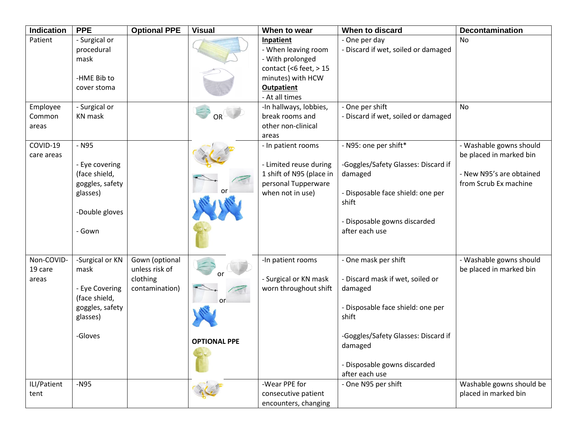| Indication                     | <b>PPE</b>                                                                                           | <b>Optional PPE</b>                                            | <b>Visual</b>             | When to wear                                                                                                                          | When to discard                                                                                                                                                                                                       | <b>Decontamination</b>                                                                                  |
|--------------------------------|------------------------------------------------------------------------------------------------------|----------------------------------------------------------------|---------------------------|---------------------------------------------------------------------------------------------------------------------------------------|-----------------------------------------------------------------------------------------------------------------------------------------------------------------------------------------------------------------------|---------------------------------------------------------------------------------------------------------|
| Patient                        | - Surgical or<br>procedural<br>mask<br>-HME Bib to<br>cover stoma                                    |                                                                |                           | Inpatient<br>- When leaving room<br>- With prolonged<br>contact (<6 feet, $> 15$<br>minutes) with HCW<br>Outpatient<br>- At all times | - One per day<br>- Discard if wet, soiled or damaged                                                                                                                                                                  | No                                                                                                      |
| Employee<br>Common<br>areas    | - Surgical or<br><b>KN</b> mask                                                                      |                                                                | <b>OR</b>                 | -In hallways, lobbies,<br>break rooms and<br>other non-clinical<br>areas                                                              | - One per shift<br>- Discard if wet, soiled or damaged                                                                                                                                                                | <b>No</b>                                                                                               |
| COVID-19<br>care areas         | - N95<br>- Eye covering<br>(face shield,<br>goggles, safety<br>glasses)<br>-Double gloves<br>- Gown  |                                                                |                           | - In patient rooms<br>- Limited reuse during<br>1 shift of N95 (place in<br>personal Tupperware<br>when not in use)                   | - N95: one per shift*<br>-Goggles/Safety Glasses: Discard if<br>damaged<br>- Disposable face shield: one per<br>shift<br>- Disposable gowns discarded<br>after each use                                               | - Washable gowns should<br>be placed in marked bin<br>- New N95's are obtained<br>from Scrub Ex machine |
| Non-COVID-<br>19 care<br>areas | -Surgical or KN<br>mask<br>- Eye Covering<br>(face shield,<br>goggles, safety<br>glasses)<br>-Gloves | Gown (optional<br>unless risk of<br>clothing<br>contamination) | or<br><b>OPTIONAL PPE</b> | -In patient rooms<br>- Surgical or KN mask<br>worn throughout shift                                                                   | - One mask per shift<br>- Discard mask if wet, soiled or<br>damaged<br>- Disposable face shield: one per<br>shift<br>-Goggles/Safety Glasses: Discard if<br>damaged<br>- Disposable gowns discarded<br>after each use | - Washable gowns should<br>be placed in marked bin                                                      |
| ILI/Patient<br>tent            | $-N95$                                                                                               |                                                                |                           | -Wear PPE for<br>consecutive patient<br>encounters, changing                                                                          | - One N95 per shift                                                                                                                                                                                                   | Washable gowns should be<br>placed in marked bin                                                        |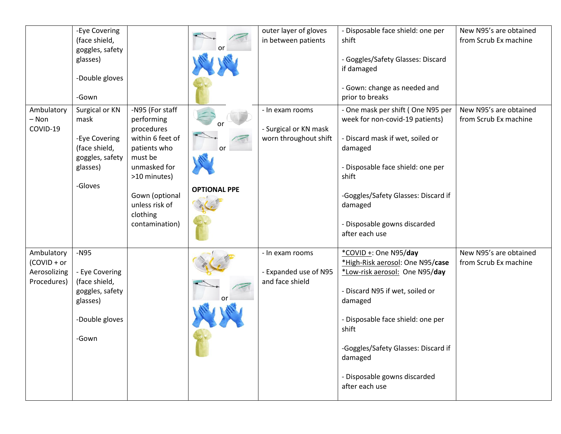|              | -Eye Covering   |                  |                     | outer layer of gloves      | - Disposable face shield: one per   | New N95's are obtained |
|--------------|-----------------|------------------|---------------------|----------------------------|-------------------------------------|------------------------|
|              | (face shield,   |                  |                     | in between patients        | shift                               | from Scrub Ex machine  |
|              | goggles, safety |                  |                     |                            |                                     |                        |
|              | glasses)        |                  |                     |                            | - Goggles/Safety Glasses: Discard   |                        |
|              |                 |                  |                     |                            | if damaged                          |                        |
|              | -Double gloves  |                  |                     |                            |                                     |                        |
|              |                 |                  |                     |                            | - Gown: change as needed and        |                        |
|              | -Gown           |                  |                     |                            | prior to breaks                     |                        |
| Ambulatory   | Surgical or KN  | -N95 (For staff  |                     | - In exam rooms            | - One mask per shift (One N95 per   | New N95's are obtained |
| – Non        | mask            | performing       |                     |                            | week for non-covid-19 patients)     | from Scrub Ex machine  |
| COVID-19     |                 | procedures       |                     | - Surgical or KN mask      |                                     |                        |
|              | -Eye Covering   | within 6 feet of |                     | worn throughout shift      | - Discard mask if wet, soiled or    |                        |
|              | (face shield,   | patients who     | or                  |                            | damaged                             |                        |
|              | goggles, safety | must be          |                     |                            |                                     |                        |
|              | glasses)        | unmasked for     |                     |                            | - Disposable face shield: one per   |                        |
|              |                 | >10 minutes)     |                     |                            | shift                               |                        |
|              | -Gloves         |                  | <b>OPTIONAL PPE</b> |                            |                                     |                        |
|              |                 | Gown (optional   |                     |                            | -Goggles/Safety Glasses: Discard if |                        |
|              |                 | unless risk of   |                     |                            | damaged                             |                        |
|              |                 | clothing         |                     |                            | - Disposable gowns discarded        |                        |
|              |                 | contamination)   |                     |                            | after each use                      |                        |
|              |                 |                  |                     |                            |                                     |                        |
| Ambulatory   | $-N95$          |                  |                     | - In exam rooms            | *COVID +: One N95/day               | New N95's are obtained |
| (COVID + or  |                 |                  |                     |                            | *High-Risk aerosol: One N95/case    | from Scrub Ex machine  |
| Aerosolizing | - Eye Covering  |                  |                     | <b>Expanded use of N95</b> | *Low-risk aerosol: One N95/day      |                        |
| Procedures)  | (face shield,   |                  |                     | and face shield            |                                     |                        |
|              | goggles, safety |                  |                     |                            | - Discard N95 if wet, soiled or     |                        |
|              | glasses)        |                  |                     |                            | damaged                             |                        |
|              |                 |                  |                     |                            |                                     |                        |
|              | -Double gloves  |                  |                     |                            | - Disposable face shield: one per   |                        |
|              |                 |                  |                     |                            | shift                               |                        |
|              | -Gown           |                  |                     |                            |                                     |                        |
|              |                 |                  |                     |                            | -Goggles/Safety Glasses: Discard if |                        |
|              |                 |                  |                     |                            | damaged                             |                        |
|              |                 |                  |                     |                            |                                     |                        |
|              |                 |                  |                     |                            | - Disposable gowns discarded        |                        |
|              |                 |                  |                     |                            | after each use                      |                        |
|              |                 |                  |                     |                            |                                     |                        |